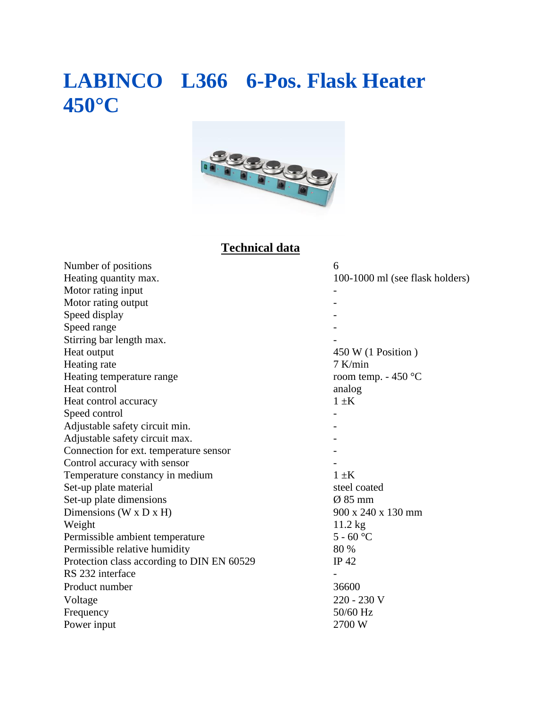## **LABINCO L366 6-Pos. Flask Heater 450°C**



## **Technical data**

| 6                               |
|---------------------------------|
| 100-1000 ml (see flask holders) |
|                                 |
|                                 |
|                                 |
|                                 |
|                                 |
| 450 W (1 Position)              |
| $7$ K/min                       |
| room temp. $-450$ °C            |
| analog                          |
| $1 \pm K$                       |
|                                 |
|                                 |
|                                 |
|                                 |
|                                 |
| $1 \pm K$                       |
| steel coated                    |
| $\varnothing$ 85 mm             |
| 900 x 240 x 130 mm              |
| $11.2$ kg                       |
| $5 - 60$ °C                     |
| 80 %                            |
| IP 42                           |
|                                 |
| 36600                           |
| 220 - 230 V                     |
| 50/60 Hz                        |
| 2700 W                          |
|                                 |